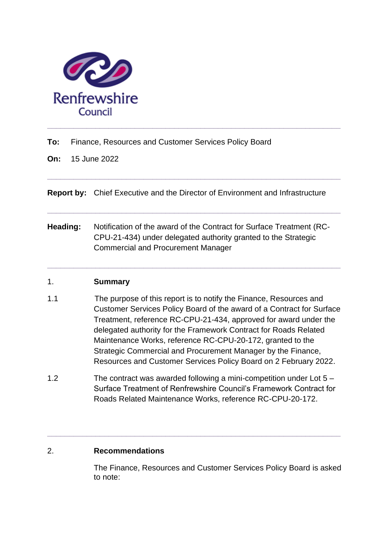

**To:** Finance, Resources and Customer Services Policy Board

**On:** 15 June 2022

**Report by:** Chief Executive and the Director of Environment and Infrastructure

**\_\_\_\_\_\_\_\_\_\_\_\_\_\_\_\_\_\_\_\_\_\_\_\_\_\_\_\_\_\_\_\_\_\_\_\_\_\_\_\_\_\_\_\_\_\_\_\_\_\_\_\_\_\_\_\_\_\_\_\_\_\_\_\_\_\_\_**

**\_\_\_\_\_\_\_\_\_\_\_\_\_\_\_\_\_\_\_\_\_\_\_\_\_\_\_\_\_\_\_\_\_\_\_\_\_\_\_\_\_\_\_\_\_\_\_\_\_\_\_\_\_\_\_\_\_\_\_\_\_\_\_\_\_\_\_**

**Heading:** Notification of the award of the Contract for Surface Treatment (RC-CPU-21-434) under delegated authority granted to the Strategic Commercial and Procurement Manager

**\_\_\_\_\_\_\_\_\_\_\_\_\_\_\_\_\_\_\_\_\_\_\_\_\_\_\_\_\_\_\_\_\_\_\_\_\_\_\_\_\_\_\_\_\_\_\_\_\_\_\_\_\_\_\_\_\_\_\_\_\_\_\_\_\_\_\_**

## 1. **Summary**

- 1.1 The purpose of this report is to notify the Finance, Resources and Customer Services Policy Board of the award of a Contract for Surface Treatment, reference RC-CPU-21-434, approved for award under the delegated authority for the Framework Contract for Roads Related Maintenance Works, reference RC-CPU-20-172, granted to the Strategic Commercial and Procurement Manager by the Finance, Resources and Customer Services Policy Board on 2 February 2022.
- 1.2 The contract was awarded following a mini-competition under Lot 5 Surface Treatment of Renfrewshire Council's Framework Contract for Roads Related Maintenance Works, reference RC-CPU-20-172.

**\_\_\_\_\_\_\_\_\_\_\_\_\_\_\_\_\_\_\_\_\_\_\_\_\_\_\_\_\_\_\_\_\_\_\_\_\_\_\_\_\_\_\_\_\_\_\_\_\_\_\_\_\_\_\_\_\_\_\_\_\_\_\_\_\_\_\_**

## 2. **Recommendations**

The Finance, Resources and Customer Services Policy Board is asked to note: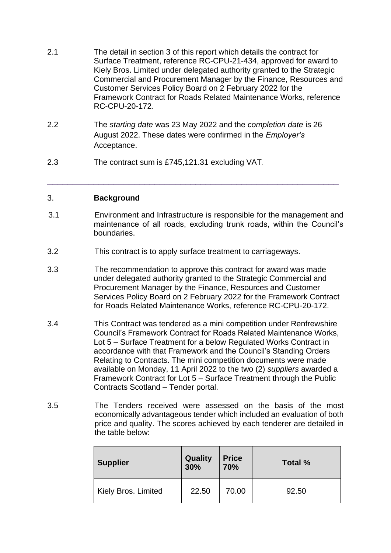- 2.1 The detail in section 3 of this report which details the contract for Surface Treatment, reference RC-CPU-21-434, approved for award to Kiely Bros. Limited under delegated authority granted to the Strategic Commercial and Procurement Manager by the Finance, Resources and Customer Services Policy Board on 2 February 2022 for the Framework Contract for Roads Related Maintenance Works, reference RC-CPU-20-172.
- 2.2 The *starting date* was 23 May 2022 and the *completion date* is 26 August 2022. These dates were confirmed in the *Employer's*  Acceptance.
- 2.3 The contract sum is £745,121.31 excluding VAT*.*

#### 3. **Background**

3.1 Environment and Infrastructure is responsible for the management and maintenance of all roads, excluding trunk roads, within the Council's boundaries.

\_\_\_\_\_\_\_\_\_\_\_\_\_\_\_\_\_\_\_\_\_\_\_\_\_\_\_\_\_\_\_\_\_\_\_\_\_\_\_\_\_\_\_\_\_\_\_\_\_\_\_\_\_\_\_\_\_

- 3.2 This contract is to apply surface treatment to carriageways.
- 3.3 The recommendation to approve this contract for award was made under delegated authority granted to the Strategic Commercial and Procurement Manager by the Finance, Resources and Customer Services Policy Board on 2 February 2022 for the Framework Contract for Roads Related Maintenance Works, reference RC-CPU-20-172.
- 3.4 This Contract was tendered as a mini competition under Renfrewshire Council's Framework Contract for Roads Related Maintenance Works, Lot 5 – Surface Treatment for a below Regulated Works Contract in accordance with that Framework and the Council's Standing Orders Relating to Contracts. The mini competition documents were made available on Monday, 11 April 2022 to the two (2) *suppliers* awarded a Framework Contract for Lot 5 – Surface Treatment through the Public Contracts Scotland – Tender portal.
- 3.5 The Tenders received were assessed on the basis of the most economically advantageous tender which included an evaluation of both price and quality. The scores achieved by each tenderer are detailed in the table below:

| <b>Supplier</b>     | <b>Quality</b><br>30% | <b>Price</b><br>70% | Total % |
|---------------------|-----------------------|---------------------|---------|
| Kiely Bros. Limited | 22.50                 | 70.00               | 92.50   |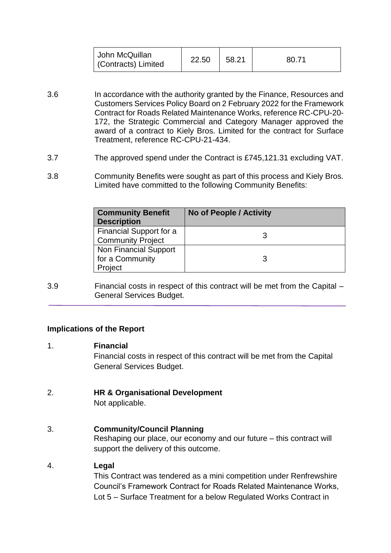| John McQuillan<br>Contracts) Limited | 22.50 | 58.21 | 80.71 |
|--------------------------------------|-------|-------|-------|
|--------------------------------------|-------|-------|-------|

- 3.6 In accordance with the authority granted by the Finance, Resources and Customers Services Policy Board on 2 February 2022 for the Framework Contract for Roads Related Maintenance Works, reference RC-CPU-20- 172, the Strategic Commercial and Category Manager approved the award of a contract to Kiely Bros. Limited for the contract for Surface Treatment, reference RC-CPU-21-434.
- 3.7 The approved spend under the Contract is £745,121.31 excluding VAT.
- 3.8 Community Benefits were sought as part of this process and Kiely Bros. Limited have committed to the following Community Benefits:

| <b>Community Benefit</b><br><b>Description</b>             | No of People / Activity |
|------------------------------------------------------------|-------------------------|
| Financial Support for a<br><b>Community Project</b>        |                         |
| <b>Non Financial Support</b><br>for a Community<br>Project |                         |

3.9 Financial costs in respect of this contract will be met from the Capital – General Services Budget.

#### **Implications of the Report**

#### 1. **Financial**

Financial costs in respect of this contract will be met from the Capital General Services Budget.

## 2. **HR & Organisational Development**

Not applicable.

# 3. **Community/Council Planning**

Reshaping our place, our economy and our future – this contract will support the delivery of this outcome.

## 4. **Legal**

This Contract was tendered as a mini competition under Renfrewshire Council's Framework Contract for Roads Related Maintenance Works, Lot 5 – Surface Treatment for a below Regulated Works Contract in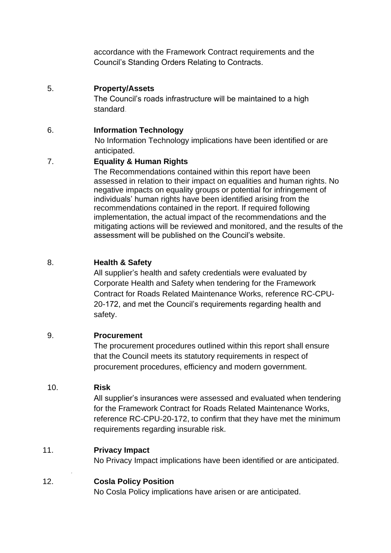accordance with the Framework Contract requirements and the Council's Standing Orders Relating to Contracts.

## 5. **Property/Assets**

The Council's roads infrastructure will be maintained to a high standard.

### 6. **Information Technology**

No Information Technology implications have been identified or are anticipated.

## 7. **Equality & Human Rights**

The Recommendations contained within this report have been assessed in relation to their impact on equalities and human rights. No negative impacts on equality groups or potential for infringement of individuals' human rights have been identified arising from the recommendations contained in the report. If required following implementation, the actual impact of the recommendations and the mitigating actions will be reviewed and monitored, and the results of the assessment will be published on the Council's website.

## 8. **Health & Safety**

All supplier's health and safety credentials were evaluated by Corporate Health and Safety when tendering for the Framework Contract for Roads Related Maintenance Works, reference RC-CPU-20-172, and met the Council's requirements regarding health and safety.

## 9. **Procurement**

The procurement procedures outlined within this report shall ensure that the Council meets its statutory requirements in respect of procurement procedures, efficiency and modern government.

## 10. **Risk**

*.* 

All supplier's insurances were assessed and evaluated when tendering for the Framework Contract for Roads Related Maintenance Works, reference RC-CPU-20-172, to confirm that they have met the minimum requirements regarding insurable risk.

## 11. **Privacy Impact**

No Privacy Impact implications have been identified or are anticipated.

## 12. **Cosla Policy Position**

No Cosla Policy implications have arisen or are anticipated.